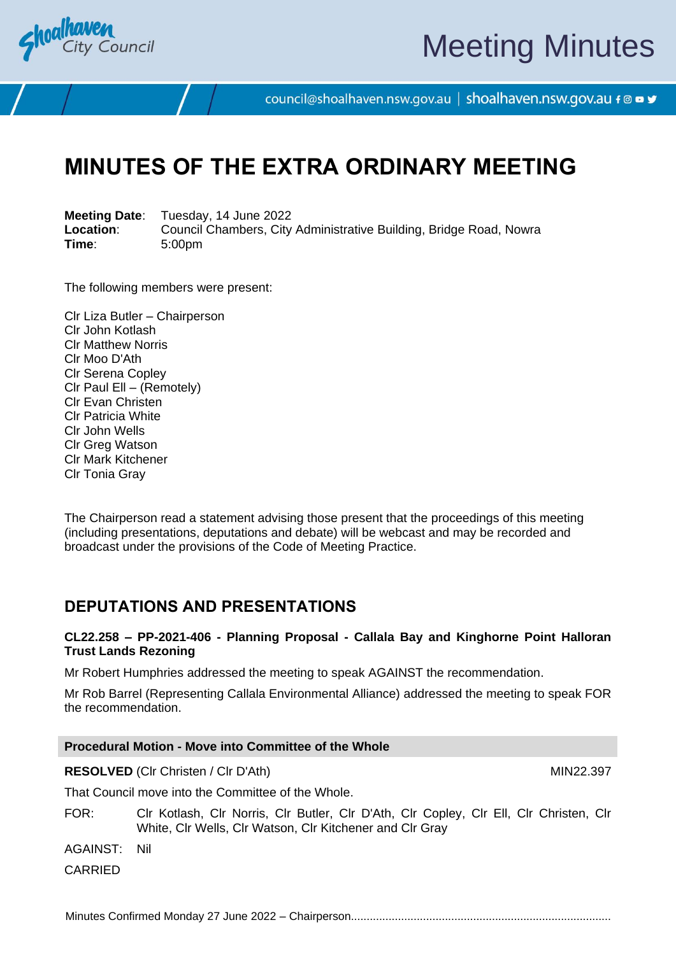

# Meeting Minutes

council@shoalhaven.nsw.gov.au | shoalhaven.nsw.gov.au f @ ■ y

# **MINUTES OF THE EXTRA ORDINARY MEETING**

**Meeting Date**: Tuesday, 14 June 2022 **Location:** Council Chambers, City Administrative Building, Bridge Road, Nowra<br>
Time: 5:00pm **Time**: 5:00pm

The following members were present:

Clr Liza Butler – Chairperson Clr John Kotlash Clr Matthew Norris Clr Moo D'Ath Clr Serena Copley Clr Paul Ell – (Remotely) Clr Evan Christen Clr Patricia White Clr John Wells Clr Greg Watson Clr Mark Kitchener Clr Tonia Gray

The Chairperson read a statement advising those present that the proceedings of this meeting (including presentations, deputations and debate) will be webcast and may be recorded and broadcast under the provisions of the Code of Meeting Practice.

## **DEPUTATIONS AND PRESENTATIONS**

**CL22.258 – PP-2021-406 - Planning Proposal - Callala Bay and Kinghorne Point Halloran Trust Lands Rezoning**

Mr Robert Humphries addressed the meeting to speak AGAINST the recommendation.

Mr Rob Barrel (Representing Callala Environmental Alliance) addressed the meeting to speak FOR the recommendation.

| <b>Procedural Motion - Move into Committee of the Whole</b> |                                                                                                                                                    |           |
|-------------------------------------------------------------|----------------------------------------------------------------------------------------------------------------------------------------------------|-----------|
|                                                             | <b>RESOLVED</b> (CIr Christen / CIr D'Ath)                                                                                                         | MIN22.397 |
| That Council move into the Committee of the Whole.          |                                                                                                                                                    |           |
| FOR:                                                        | CIr Kotlash, CIr Norris, CIr Butler, CIr D'Ath, CIr Copley, CIr Ell, CIr Christen, CIr<br>White, Cir Wells, Cir Watson, Cir Kitchener and Cir Gray |           |

AGAINST: Nil

CARRIED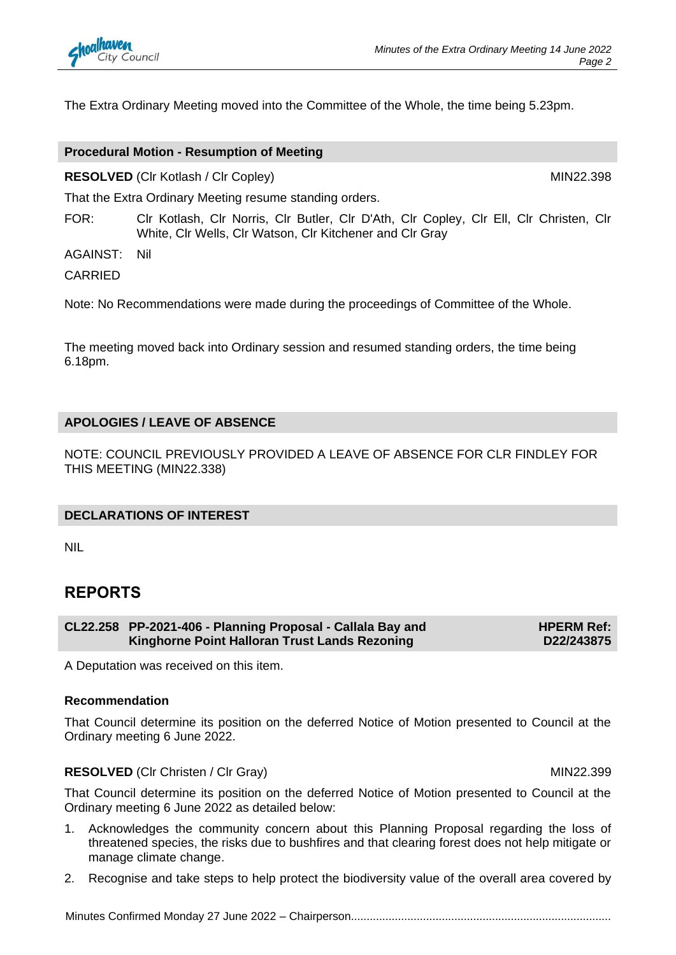

The Extra Ordinary Meeting moved into the Committee of the Whole, the time being 5.23pm.

#### **Procedural Motion - Resumption of Meeting**

**RESOLVED** (Clr Kotlash / Clr Copley) MIN22.398

That the Extra Ordinary Meeting resume standing orders.

FOR: Clr Kotlash, Clr Norris, Clr Butler, Clr D'Ath, Clr Copley, Clr Ell, Clr Christen, Clr White, Clr Wells, Clr Watson, Clr Kitchener and Clr Gray

AGAINST: Nil

CARRIED

Note: No Recommendations were made during the proceedings of Committee of the Whole.

The meeting moved back into Ordinary session and resumed standing orders, the time being 6.18pm.

#### **APOLOGIES / LEAVE OF ABSENCE**

NOTE: COUNCIL PREVIOUSLY PROVIDED A LEAVE OF ABSENCE FOR CLR FINDLEY FOR THIS MEETING (MIN22.338)

#### **DECLARATIONS OF INTEREST**

NIL

### **REPORTS**

**CL22.258 PP-2021-406 - Planning Proposal - Callala Bay and Kinghorne Point Halloran Trust Lands Rezoning HPERM Ref: D22/243875**

A Deputation was received on this item.

#### **Recommendation**

That Council determine its position on the deferred Notice of Motion presented to Council at the Ordinary meeting 6 June 2022.

#### **RESOLVED** (CIr Christen / CIr Gray) MIN22.399

That Council determine its position on the deferred Notice of Motion presented to Council at the Ordinary meeting 6 June 2022 as detailed below:

- 1. Acknowledges the community concern about this Planning Proposal regarding the loss of threatened species, the risks due to bushfires and that clearing forest does not help mitigate or manage climate change.
- 2. Recognise and take steps to help protect the biodiversity value of the overall area covered by

Minutes Confirmed Monday 27 June 2022 - Chairperson...